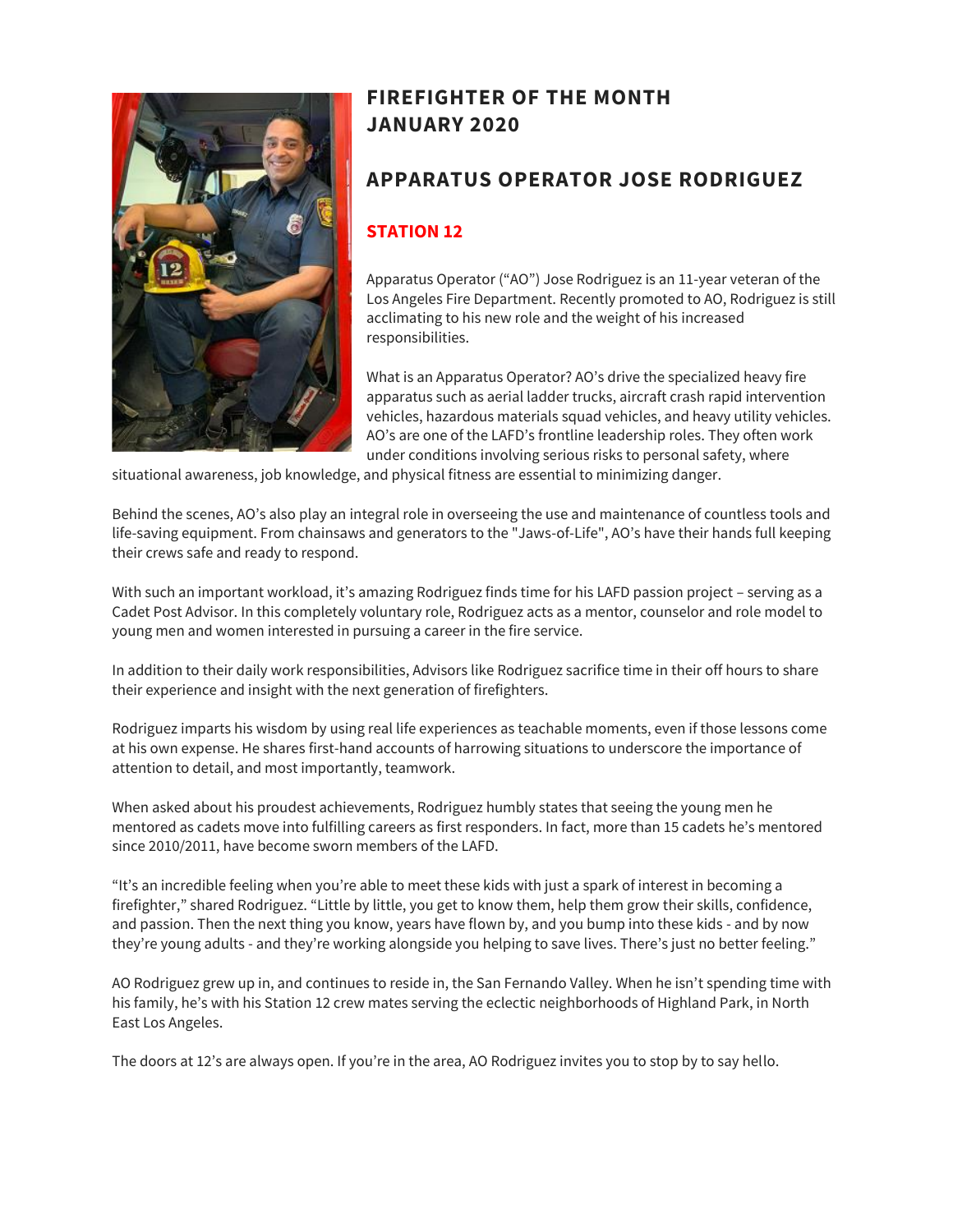

# **FIREFIGHTER OF THE MONTH JANUARY 2020**

## **APPARATUS OPERATOR JOSE RODRIGUEZ**

#### **STATION 12**

Apparatus Operator ("AO") Jose Rodriguez is an 11-year veteran of the Los Angeles Fire Department. Recently promoted to AO, Rodriguez is still acclimating to his new role and the weight of his increased responsibilities.

What is an Apparatus Operator? AO's drive the specialized heavy fire apparatus such as aerial ladder trucks, aircraft crash rapid intervention vehicles, hazardous materials squad vehicles, and heavy utility vehicles. AO's are one of the LAFD's frontline leadership roles. They often work under conditions involving serious risks to personal safety, where

situational awareness, job knowledge, and physical fitness are essential to minimizing danger.

Behind the scenes, AO's also play an integral role in overseeing the use and maintenance of countless tools and life-saving equipment. From chainsaws and generators to the "Jaws-of-Life", AO's have their hands full keeping their crews safe and ready to respond.

With such an important workload, it's amazing Rodriguez finds time for his LAFD passion project – serving as a Cadet Post Advisor. In this completely voluntary role, Rodriguez acts as a mentor, counselor and role model to young men and women interested in pursuing a career in the fire service.

In addition to their daily work responsibilities, Advisors like Rodriguez sacrifice time in their off hours to share their experience and insight with the next generation of firefighters.

Rodriguez imparts his wisdom by using real life experiences as teachable moments, even if those lessons come at his own expense. He shares first-hand accounts of harrowing situations to underscore the importance of attention to detail, and most importantly, teamwork.

When asked about his proudest achievements, Rodriguez humbly states that seeing the young men he mentored as cadets move into fulfilling careers as first responders. In fact, more than 15 cadets he's mentored since 2010/2011, have become sworn members of the LAFD.

"It's an incredible feeling when you're able to meet these kids with just a spark of interest in becoming a firefighter," shared Rodriguez. "Little by little, you get to know them, help them grow their skills, confidence, and passion. Then the next thing you know, years have flown by, and you bump into these kids - and by now they're young adults - and they're working alongside you helping to save lives. There's just no better feeling."

AO Rodriguez grew up in, and continues to reside in, the San Fernando Valley. When he isn't spending time with his family, he's with his Station 12 crew mates serving the eclectic neighborhoods of Highland Park, in North East Los Angeles.

The doors at 12's are always open. If you're in the area, AO Rodriguez invites you to stop by to say hello.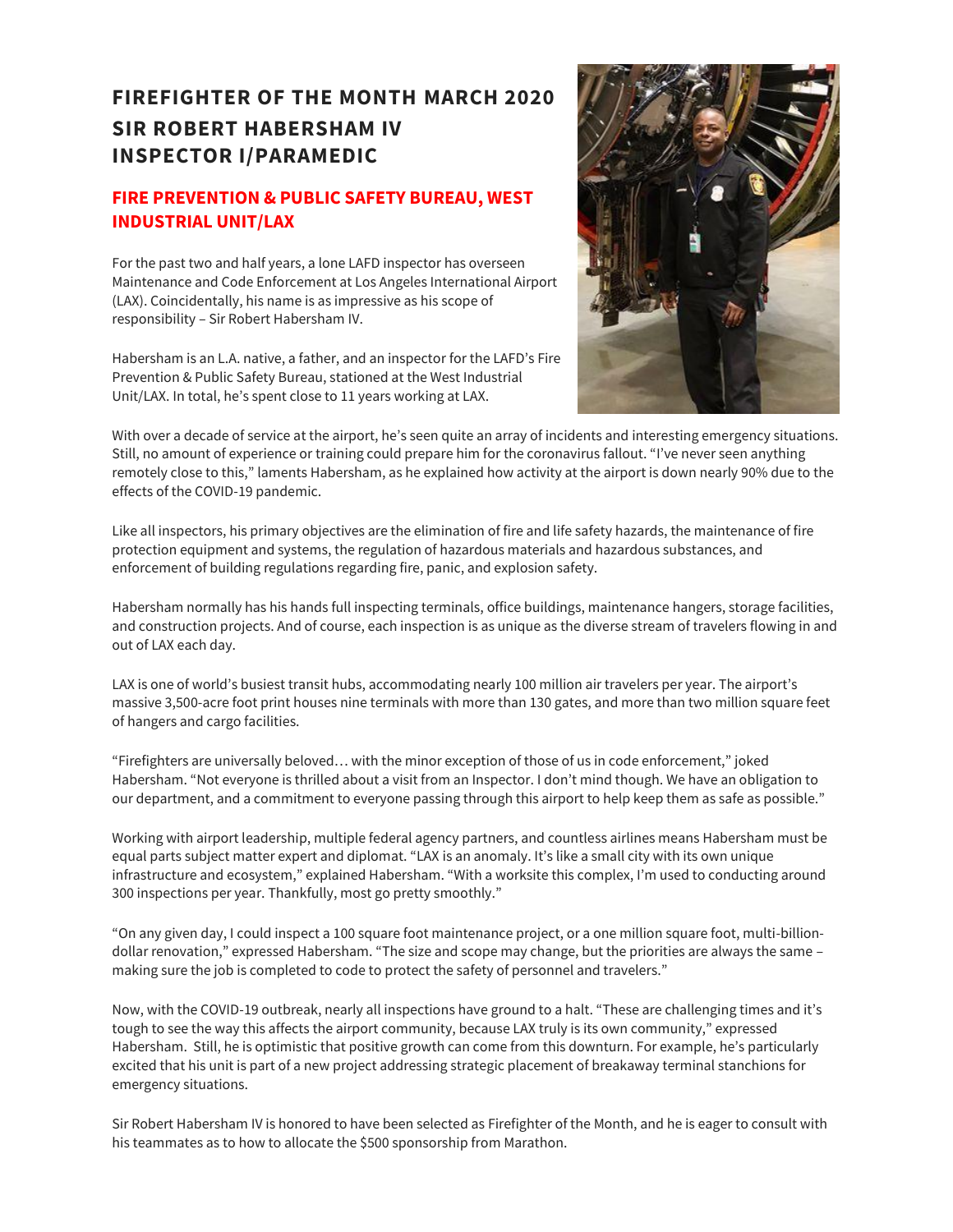# **FIREFIGHTER OF THE MONTH MARCH 2020 SIR ROBERT HABERSHAM IV INSPECTOR I/PARAMEDIC**

#### **FIRE PREVENTION & PUBLIC SAFETY BUREAU, WEST INDUSTRIAL UNIT/LAX**

For the past two and half years, a lone LAFD inspector has overseen Maintenance and Code Enforcement at Los Angeles International Airport (LAX). Coincidentally, his name is as impressive as his scope of responsibility – Sir Robert Habersham IV.

Habersham is an L.A. native, a father, and an inspector for the LAFD's Fire Prevention & Public Safety Bureau, stationed at the West Industrial Unit/LAX. In total, he's spent close to 11 years working at LAX.



With over a decade of service at the airport, he's seen quite an array of incidents and interesting emergency situations. Still, no amount of experience or training could prepare him for the coronavirus fallout. "I've never seen anything remotely close to this," laments Habersham, as he explained how activity at the airport is down nearly 90% due to the effects of the COVID-19 pandemic.

Like all inspectors, his primary objectives are the elimination of fire and life safety hazards, the maintenance of fire protection equipment and systems, the regulation of hazardous materials and hazardous substances, and enforcement of building regulations regarding fire, panic, and explosion safety.

Habersham normally has his hands full inspecting terminals, office buildings, maintenance hangers, storage facilities, and construction projects. And of course, each inspection is as unique as the diverse stream of travelers flowing in and out of LAX each day.

LAX is one of world's busiest transit hubs, accommodating nearly 100 million air travelers per year. The airport's massive 3,500-acre foot print houses nine terminals with more than 130 gates, and more than two million square feet of hangers and cargo facilities.

"Firefighters are universally beloved… with the minor exception of those of us in code enforcement," joked Habersham. "Not everyone is thrilled about a visit from an Inspector. I don't mind though. We have an obligation to our department, and a commitment to everyone passing through this airport to help keep them as safe as possible."

Working with airport leadership, multiple federal agency partners, and countless airlines means Habersham must be equal parts subject matter expert and diplomat. "LAX is an anomaly. It's like a small city with its own unique infrastructure and ecosystem," explained Habersham. "With a worksite this complex, I'm used to conducting around 300 inspections per year. Thankfully, most go pretty smoothly."

"On any given day, I could inspect a 100 square foot maintenance project, or a one million square foot, multi-billiondollar renovation," expressed Habersham. "The size and scope may change, but the priorities are always the same – making sure the job is completed to code to protect the safety of personnel and travelers."

Now, with the COVID-19 outbreak, nearly all inspections have ground to a halt. "These are challenging times and it's tough to see the way this affects the airport community, because LAX truly is its own community," expressed Habersham. Still, he is optimistic that positive growth can come from this downturn. For example, he's particularly excited that his unit is part of a new project addressing strategic placement of breakaway terminal stanchions for emergency situations.

Sir Robert Habersham IV is honored to have been selected as Firefighter of the Month, and he is eager to consult with his teammates as to how to allocate the \$500 sponsorship from Marathon.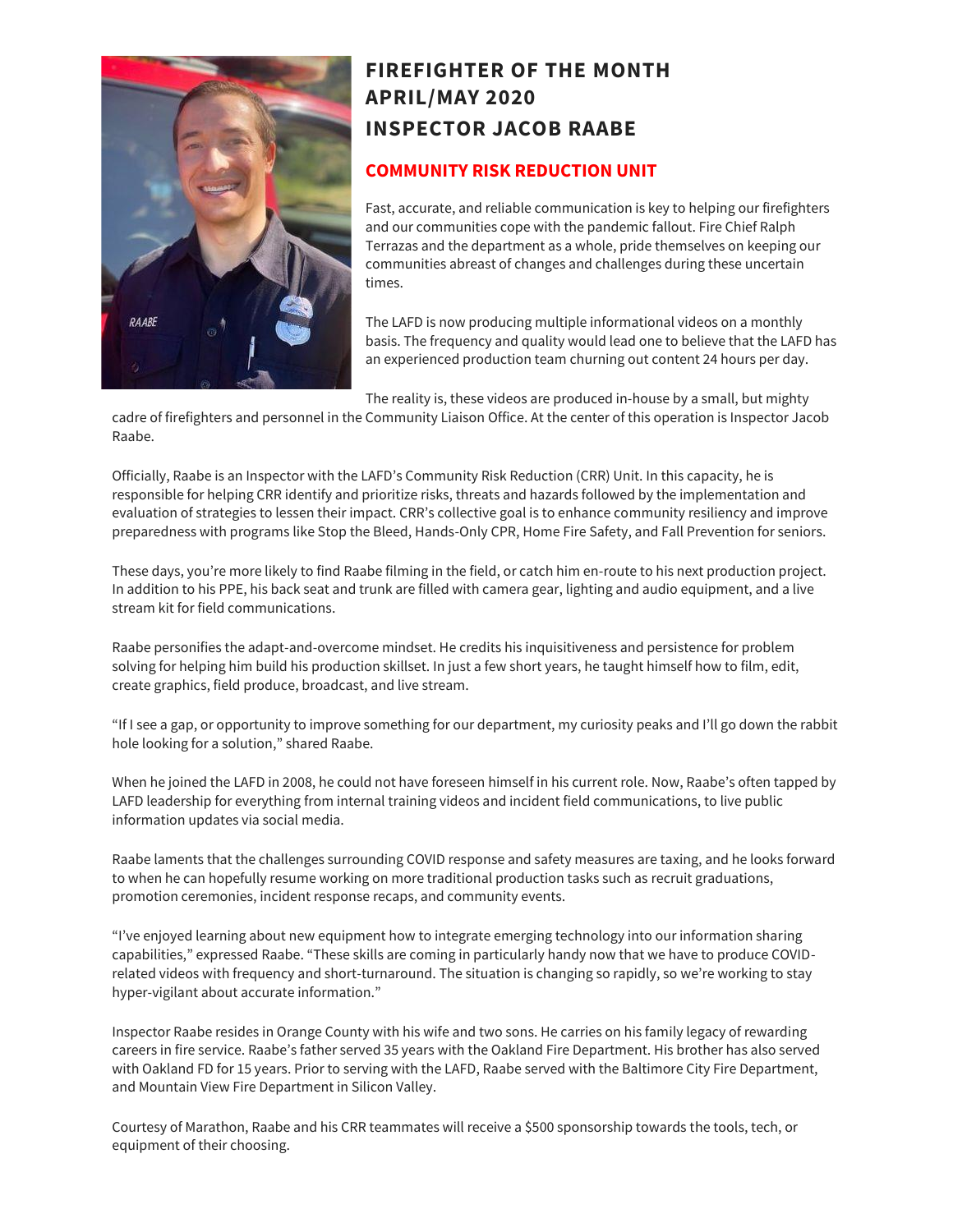

# **FIREFIGHTER OF THE MONTH APRIL/MAY 2020 INSPECTOR JACOB RAABE**

#### **COMMUNITY RISK REDUCTION UNIT**

Fast, accurate, and reliable communication is key to helping our firefighters and our communities cope with the pandemic fallout. Fire Chief Ralph Terrazas and the department as a whole, pride themselves on keeping our communities abreast of changes and challenges during these uncertain times.

The LAFD is now producing multiple informational videos on a monthly basis. The frequency and quality would lead one to believe that the LAFD has an experienced production team churning out content 24 hours per day.

The reality is, these videos are produced in-house by a small, but mighty

cadre of firefighters and personnel in the Community Liaison Office. At the center of this operation is Inspector Jacob Raabe.

Officially, Raabe is an Inspector with the LAFD's Community Risk Reduction (CRR) Unit. In this capacity, he is responsible for helping CRR identify and prioritize risks, threats and hazards followed by the implementation and evaluation of strategies to lessen their impact. CRR's collective goal is to enhance community resiliency and improve preparedness with programs like Stop the Bleed, Hands-Only CPR, Home Fire Safety, and Fall Prevention for seniors.

These days, you're more likely to find Raabe filming in the field, or catch him en-route to his next production project. In addition to his PPE, his back seat and trunk are filled with camera gear, lighting and audio equipment, and a live stream kit for field communications.

Raabe personifies the adapt-and-overcome mindset. He credits his inquisitiveness and persistence for problem solving for helping him build his production skillset. In just a few short years, he taught himself how to film, edit, create graphics, field produce, broadcast, and live stream.

"If I see a gap, or opportunity to improve something for our department, my curiosity peaks and I'll go down the rabbit hole looking for a solution," shared Raabe.

When he joined the LAFD in 2008, he could not have foreseen himself in his current role. Now, Raabe's often tapped by LAFD leadership for everything from internal training videos and incident field communications, to live public information updates via social media.

Raabe laments that the challenges surrounding COVID response and safety measures are taxing, and he looks forward to when he can hopefully resume working on more traditional production tasks such as recruit graduations, promotion ceremonies, incident response recaps, and community events.

"I've enjoyed learning about new equipment how to integrate emerging technology into our information sharing capabilities," expressed Raabe. "These skills are coming in particularly handy now that we have to produce COVIDrelated videos with frequency and short-turnaround. The situation is changing so rapidly, so we're working to stay hyper-vigilant about accurate information."

Inspector Raabe resides in Orange County with his wife and two sons. He carries on his family legacy of rewarding careers in fire service. Raabe's father served 35 years with the Oakland Fire Department. His brother has also served with Oakland FD for 15 years. Prior to serving with the LAFD, Raabe served with the Baltimore City Fire Department, and Mountain View Fire Department in Silicon Valley.

Courtesy of Marathon, Raabe and his CRR teammates will receive a \$500 sponsorship towards the tools, tech, or equipment of their choosing.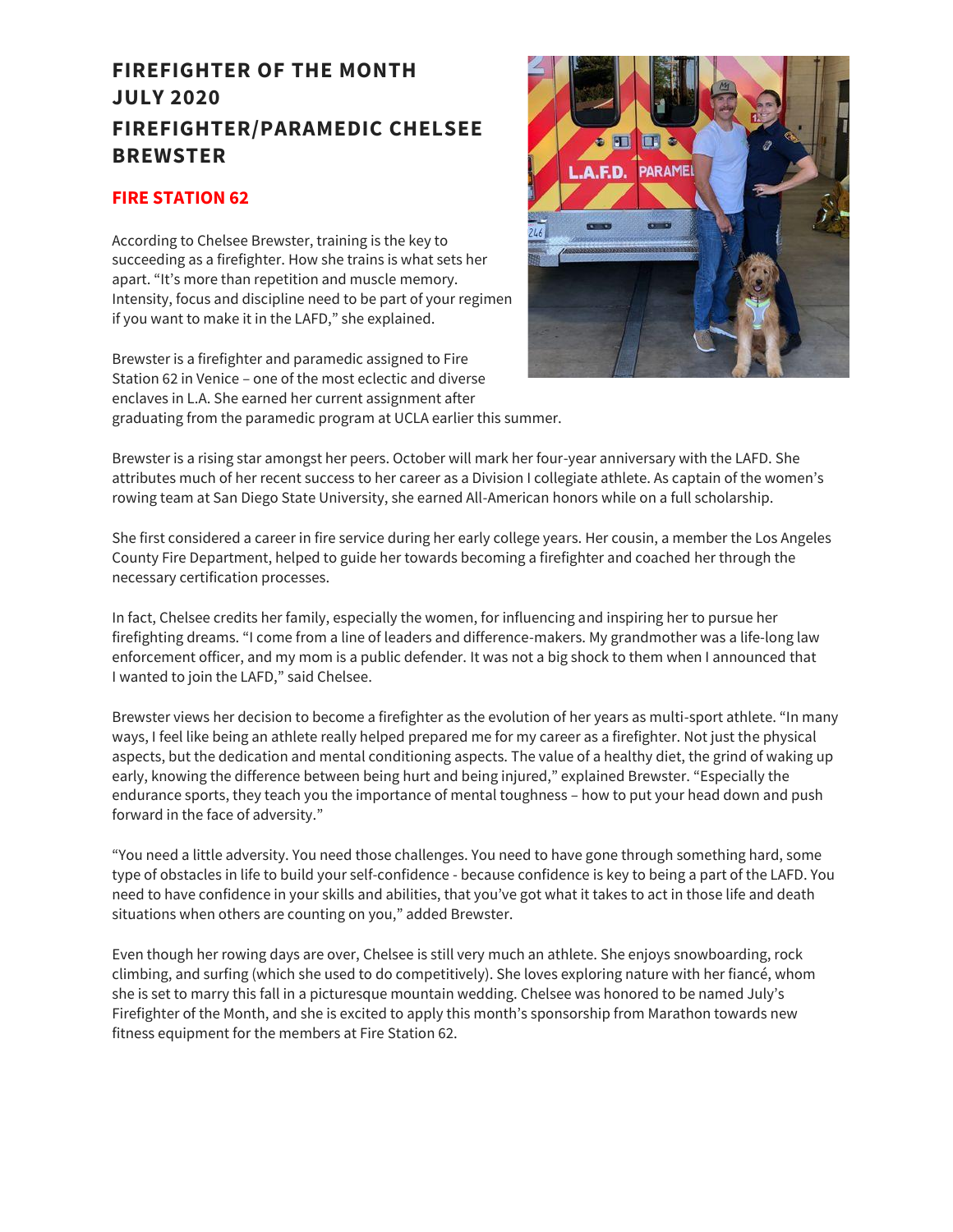# **FIREFIGHTER OF THE MONTH JULY 2020 FIREFIGHTER/PARAMEDIC CHELSEE BREWSTER**

#### **FIRE STATION 62**

According to Chelsee Brewster, training is the key to succeeding as a firefighter. How she trains is what sets her apart. "It's more than repetition and muscle memory. Intensity, focus and discipline need to be part of your regimen if you want to make it in the LAFD," she explained.

Brewster is a firefighter and paramedic assigned to Fire Station 62 in Venice – one of the most eclectic and diverse enclaves in L.A. She earned her current assignment after graduating from the paramedic program at UCLA earlier this summer.



Brewster is a rising star amongst her peers. October will mark her four-year anniversary with the LAFD. She attributes much of her recent success to her career as a Division I collegiate athlete. As captain of the women's rowing team at San Diego State University, she earned All-American honors while on a full scholarship.

She first considered a career in fire service during her early college years. Her cousin, a member the Los Angeles County Fire Department, helped to guide her towards becoming a firefighter and coached her through the necessary certification processes.

In fact, Chelsee credits her family, especially the women, for influencing and inspiring her to pursue her firefighting dreams. "I come from a line of leaders and difference-makers. My grandmother was a life-long law enforcement officer, and my mom is a public defender. It was not a big shock to them when I announced that I wanted to join the LAFD," said Chelsee.

Brewster views her decision to become a firefighter as the evolution of her years as multi-sport athlete. "In many ways, I feel like being an athlete really helped prepared me for my career as a firefighter. Not just the physical aspects, but the dedication and mental conditioning aspects. The value of a healthy diet, the grind of waking up early, knowing the difference between being hurt and being injured," explained Brewster. "Especially the endurance sports, they teach you the importance of mental toughness – how to put your head down and push forward in the face of adversity."

"You need a little adversity. You need those challenges. You need to have gone through something hard, some type of obstacles in life to build your self-confidence - because confidence is key to being a part of the LAFD. You need to have confidence in your skills and abilities, that you've got what it takes to act in those life and death situations when others are counting on you," added Brewster.

Even though her rowing days are over, Chelsee is still very much an athlete. She enjoys snowboarding, rock climbing, and surfing (which she used to do competitively). She loves exploring nature with her fiancé, whom she is set to marry this fall in a picturesque mountain wedding. Chelsee was honored to be named July's Firefighter of the Month, and she is excited to apply this month's sponsorship from Marathon towards new fitness equipment for the members at Fire Station 62.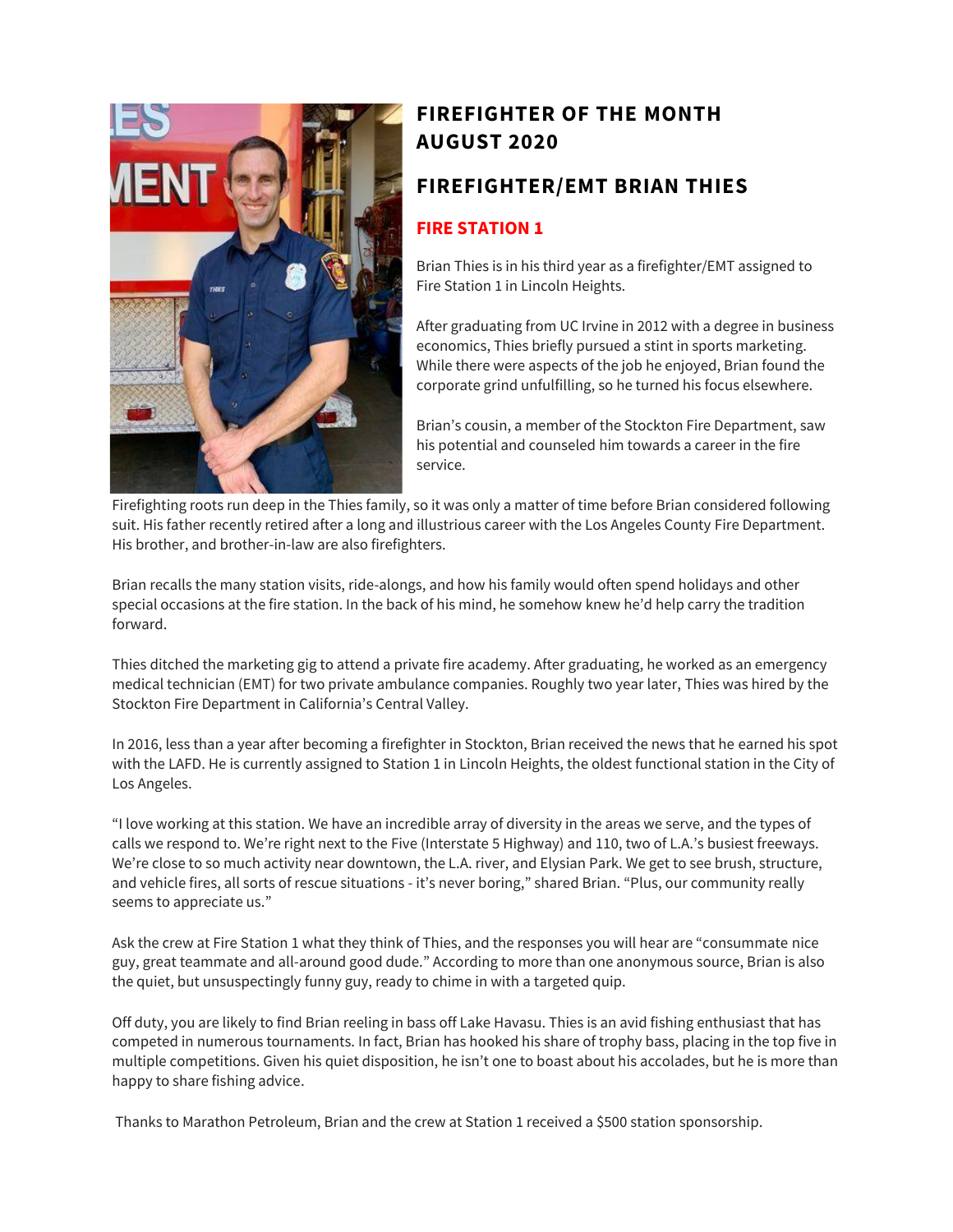

# **FIREFIGHTER OF THE MONTH AUGUST 2020**

### **FIREFIGHTER/EMT BRIAN THIES**

#### **FIRE STATION 1**

Brian Thies is in his third year as a firefighter/EMT assigned to Fire Station 1 in Lincoln Heights.

After graduating from UC Irvine in 2012 with a degree in business economics, Thies briefly pursued a stint in sports marketing. While there were aspects of the job he enjoyed, Brian found the corporate grind unfulfilling, so he turned his focus elsewhere.

Brian's cousin, a member of the Stockton Fire Department, saw his potential and counseled him towards a career in the fire service.

Firefighting roots run deep in the Thies family, so it was only a matter of time before Brian considered following suit. His father recently retired after a long and illustrious career with the Los Angeles County Fire Department. His brother, and brother-in-law are also firefighters.

Brian recalls the many station visits, ride-alongs, and how his family would often spend holidays and other special occasions at the fire station. In the back of his mind, he somehow knew he'd help carry the tradition forward.

Thies ditched the marketing gig to attend a private fire academy. After graduating, he worked as an emergency medical technician (EMT) for two private ambulance companies. Roughly two year later, Thies was hired by the Stockton Fire Department in California's Central Valley.

In 2016, less than a year after becoming a firefighter in Stockton, Brian received the news that he earned his spot with the LAFD. He is currently assigned to Station 1 in Lincoln Heights, the oldest functional station in the City of Los Angeles.

"I love working at this station. We have an incredible array of diversity in the areas we serve, and the types of calls we respond to. We're right next to the Five (Interstate 5 Highway) and 110, two of L.A.'s busiest freeways. We're close to so much activity near downtown, the L.A. river, and Elysian Park. We get to see brush, structure, and vehicle fires, all sorts of rescue situations - it's never boring," shared Brian. "Plus, our community really seems to appreciate us."

Ask the crew at Fire Station 1 what they think of Thies, and the responses you will hear are "consummate nice guy, great teammate and all-around good dude." According to more than one anonymous source, Brian is also the quiet, but unsuspectingly funny guy, ready to chime in with a targeted quip.

Off duty, you are likely to find Brian reeling in bass off Lake Havasu. Thies is an avid fishing enthusiast that has competed in numerous tournaments. In fact, Brian has hooked his share of trophy bass, placing in the top five in multiple competitions. Given his quiet disposition, he isn't one to boast about his accolades, but he is more than happy to share fishing advice.

Thanks to Marathon Petroleum, Brian and the crew at Station 1 received a \$500 station sponsorship.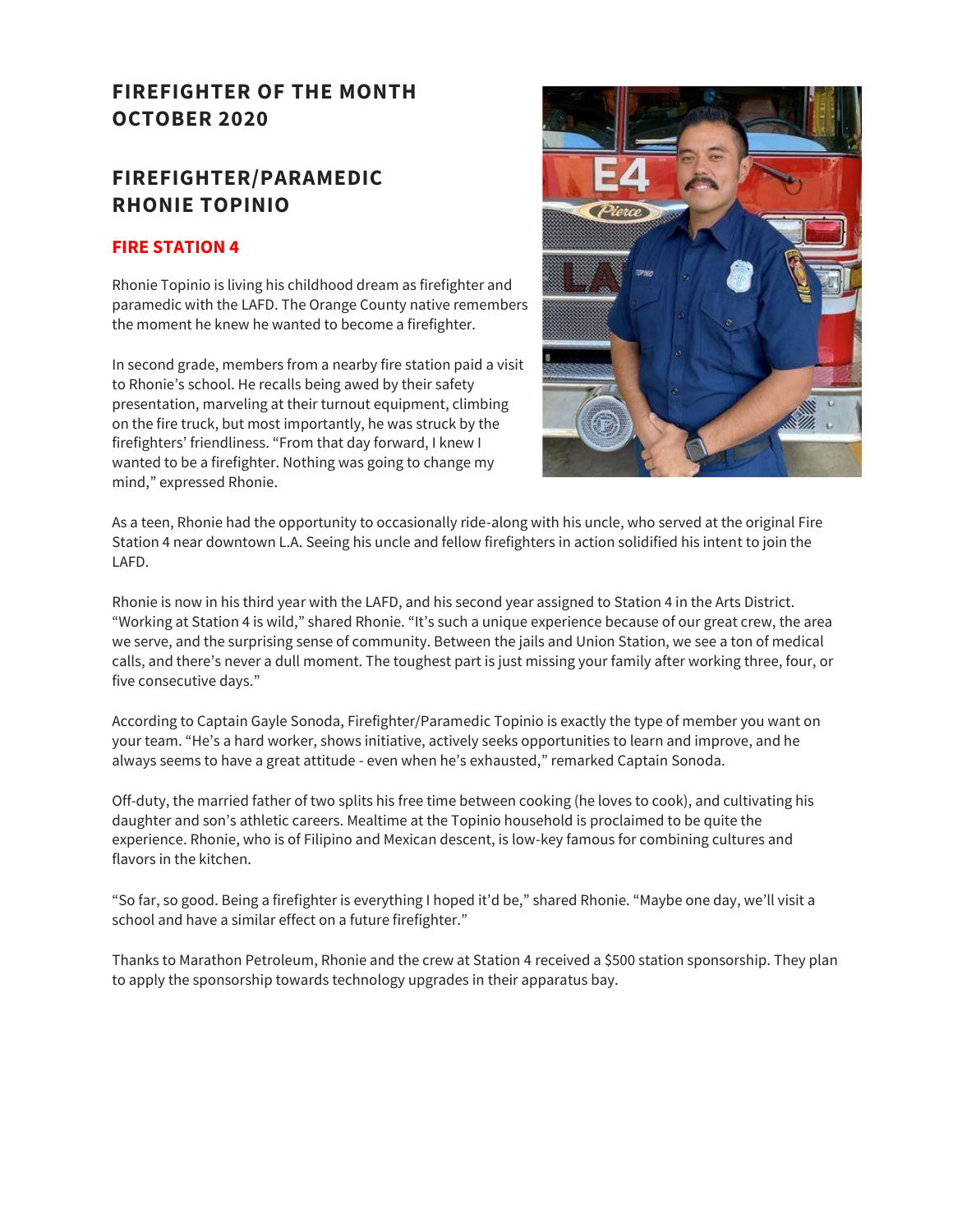## **FIREFIGHTER OF THE MONTH OCTOBER 2020**

## **FIREFIGHTER/PARAMEDIC RHONIE TOPINIO**

#### **FIRE STATION 4**

Rhonie Topinio is living his childhood dream as firefighter and paramedic with the LAFD. The Orange County native remembers the moment he knew he wanted to become a firefighter.

In second grade, members from a nearby fire station paid a visit to Rhonie's school. He recalls being awed by their safety presentation, marveling at their turnout equipment, climbing on the fire truck, but most importantly, he was struck by the firefighters' friendliness. "From that day forward, I knew I wanted to be a firefighter. Nothing was going to change my mind," expressed Rhonie.



As a teen, Rhonie had the opportunity to occasionally ride-along with his uncle, who served at the original Fire Station 4 near downtown L.A. Seeing his uncle and fellow firefighters in action solidified his intent to join the LAFD.

Rhonie is now in his third year with the LAFD, and his second year assigned to Station 4 in the Arts District. "Working at Station 4 is wild," shared Rhonie. "It's such a unique experience because of our great crew, the area we serve, and the surprising sense of community. Between the jails and Union Station, we see a ton of medical calls, and there's never a dull moment. The toughest part is just missing your family after working three, four, or five consecutive days."

According to Captain Gayle Sonoda, Firefighter/Paramedic Topinio is exactly the type of member you want on your team. "He's a hard worker, shows initiative, actively seeks opportunities to learn and improve, and he always seems to have a great attitude - even when he's exhausted," remarked Captain Sonoda.

Off-duty, the married father of two splits his free time between cooking (he loves to cook), and cultivating his daughter and son's athletic careers. Mealtime at the Topinio household is proclaimed to be quite the experience. Rhonie, who is of Filipino and Mexican descent, is low-key famous for combining cultures and flavors in the kitchen.

"So far, so good. Being a firefighter is everything I hoped it'd be," shared Rhonie. "Maybe one day, we'll visit a school and have a similar effect on a future firefighter."

Thanks to Marathon Petroleum, Rhonie and the crew at Station 4 received a \$500 station sponsorship. They plan to apply the sponsorship towards technology upgrades in their apparatus bay.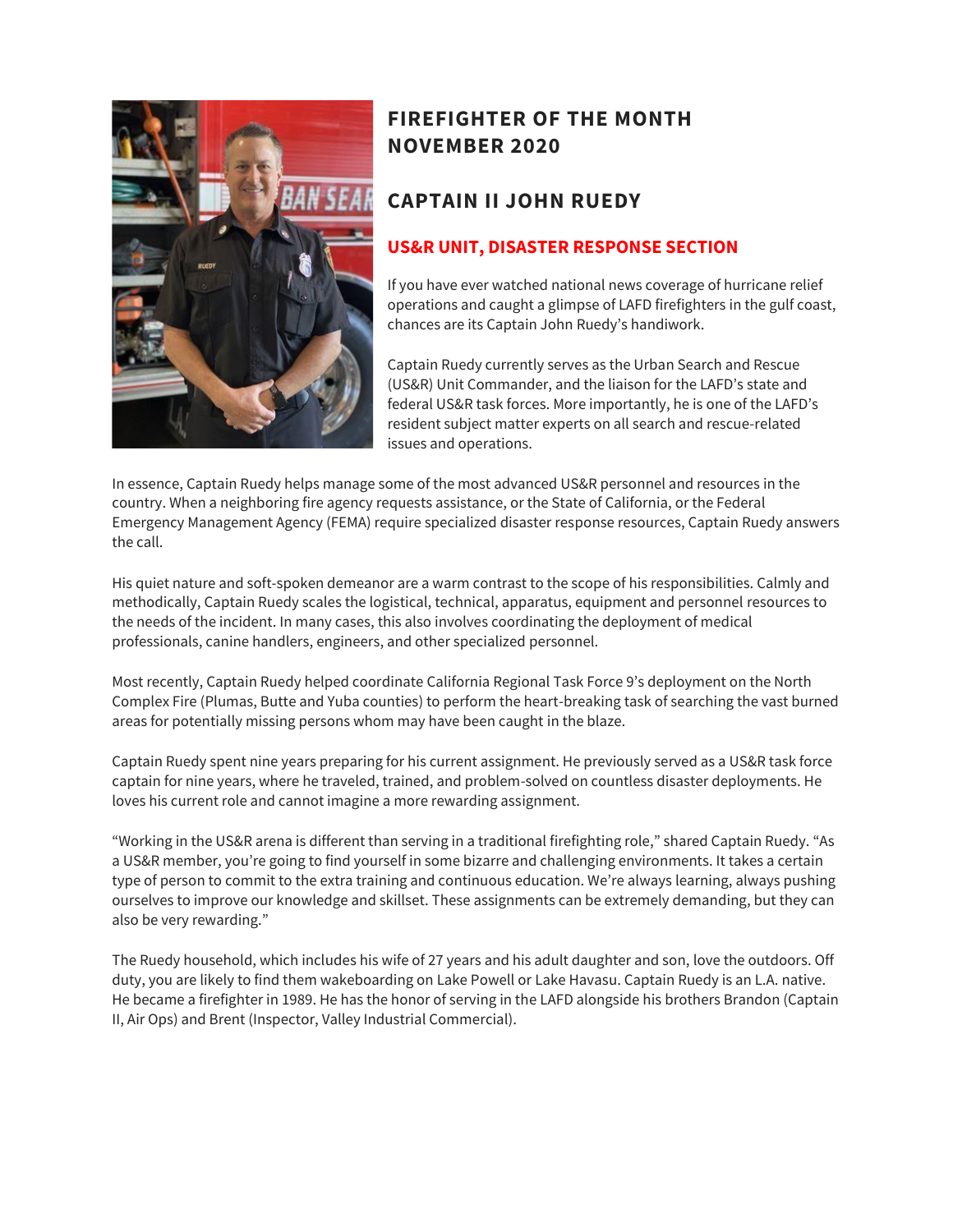

# **FIREFIGHTER OF THE MONTH NOVEMBER 2020**

### **CAPTAIN II JOHN RUEDY**

#### **US&R UNIT, DISASTER RESPONSE SECTION**

If you have ever watched national news coverage of hurricane relief operations and caught a glimpse of LAFD firefighters in the gulf coast, chances are its Captain John Ruedy's handiwork.

Captain Ruedy currently serves as the Urban Search and Rescue (US&R) Unit Commander, and the liaison for the LAFD's state and federal US&R task forces. More importantly, he is one of the LAFD's resident subject matter experts on all search and rescue-related issues and operations.

In essence, Captain Ruedy helps manage some of the most advanced US&R personnel and resources in the country. When a neighboring fire agency requests assistance, or the State of California, or the Federal Emergency Management Agency (FEMA) require specialized disaster response resources, Captain Ruedy answers the call.

His quiet nature and soft-spoken demeanor are a warm contrast to the scope of his responsibilities. Calmly and methodically, Captain Ruedy scales the logistical, technical, apparatus, equipment and personnel resources to the needs of the incident. In many cases, this also involves coordinating the deployment of medical professionals, canine handlers, engineers, and other specialized personnel.

Most recently, Captain Ruedy helped coordinate California Regional Task Force 9's deployment on the North Complex Fire (Plumas, Butte and Yuba counties) to perform the heart-breaking task of searching the vast burned areas for potentially missing persons whom may have been caught in the blaze.

Captain Ruedy spent nine years preparing for his current assignment. He previously served as a US&R task force captain for nine years, where he traveled, trained, and problem-solved on countless disaster deployments. He loves his current role and cannot imagine a more rewarding assignment.

"Working in the US&R arena is different than serving in a traditional firefighting role," shared Captain Ruedy. "As a US&R member, you're going to find yourself in some bizarre and challenging environments. It takes a certain type of person to commit to the extra training and continuous education. We're always learning, always pushing ourselves to improve our knowledge and skillset. These assignments can be extremely demanding, but they can also be very rewarding."

The Ruedy household, which includes his wife of 27 years and his adult daughter and son, love the outdoors. Off duty, you are likely to find them wakeboarding on Lake Powell or Lake Havasu. Captain Ruedy is an L.A. native. He became a firefighter in 1989. He has the honor of serving in the LAFD alongside his brothers Brandon (Captain II, Air Ops) and Brent (Inspector, Valley Industrial Commercial).